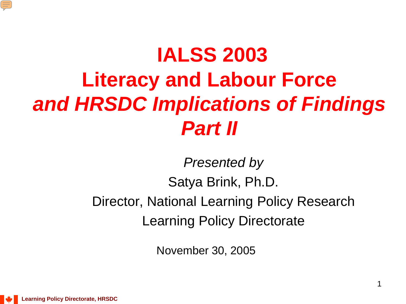

# **IALSS 2003 Literacy and Labour Force** *and HRSDC Implications of Findings Part II*

*Presented by*

Satya Brink, Ph.D.

Director, National Learning Policy Research Learning Policy Directorate

November 30, 2005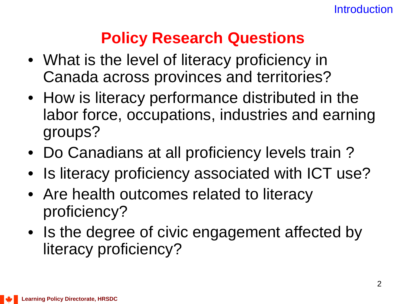## **Policy Research Questions**

- What is the level of literacy proficiency in Canada across provinces and territories?
- How is literacy performance distributed in the labor force, occupations, industries and earning groups?
- Do Canadians at all proficiency levels train ?
- Is literacy proficiency associated with ICT use?
- Are health outcomes related to literacy proficiency?
- Is the degree of civic engagement affected by literacy proficiency?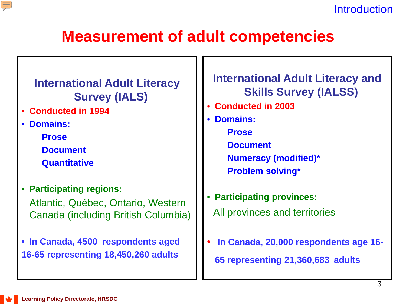

**Introduction** 

## **Measurement of adult competencies**

### **International Adult Literacy Survey (IALS)**

- **Conducted in 1994**
- **Domains:**
	- **Prose**
	- **Document**
	- **Quantitative**
- **Participating regions:** Atlantic, Québec, Ontario, Western Canada (including British Columbia)
- **In Canada, 4500 respondents aged 16-65 representing 18,450,260 adults**

### **International Adult Literacy and Skills Survey (IALSS)**

- **Conducted in 2003**
- **Domains:**
	- **Prose**
	- **Document**
	- **Numeracy (modified)\***
	- **Problem solving\***
- **Participating provinces:**  All provinces and territories
- **In Canada, 20,000 respondents age 16- 65 representing 21,360,683 adults**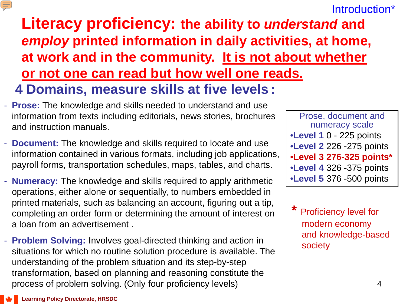### Introduction\*

**Literacy proficiency: the ability to** *understand* **and**  *employ* **printed information in daily activities, at home, at work and in the community. It is not about whether or not one can read but how well one reads. 4 Domains, measure skills at five levels :**

- **Prose:** The knowledge and skills needed to understand and use information from texts including editorials, news stories, brochures and instruction manuals.
- **Document:** The knowledge and skills required to locate and use information contained in various formats, including job applications, payroll forms, transportation schedules, maps, tables, and charts.
- **Numeracy:** The knowledge and skills required to apply arithmetic operations, either alone or sequentially, to numbers embedded in printed materials, such as balancing an account, figuring out a tip, completing an order form or determining the amount of interest on a loan from an advertisement .
- **Problem Solving:** Involves goal-directed thinking and action in situations for which no routine solution procedure is available. The understanding of the problem situation and its step-by-step transformation, based on planning and reasoning constitute the process of problem solving. (Only four proficiency levels)

Prose, document and numeracy scale •**Level 1** 0 - 225 points •**Level 2** 226 -275 points •**Level 3 276-325 points\*** •**Level 4** 326 -375 points •**Level 5** 376 -500 points

**Proficiency level for** modern economy and knowledge-based society

 $\equiv$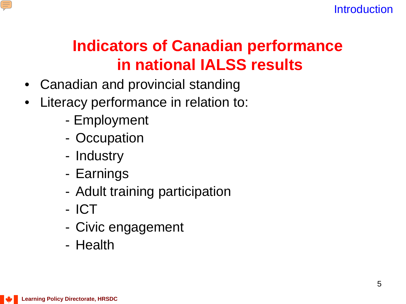

## **Indicators of Canadian performance in national IALSS results**

- Canadian and provincial standing
- Literacy performance in relation to:
	- Employment
	- Occupation
	- Industry
	- Earnings
	- Adult training participation
	- ICT
	- Civic engagement
	- Health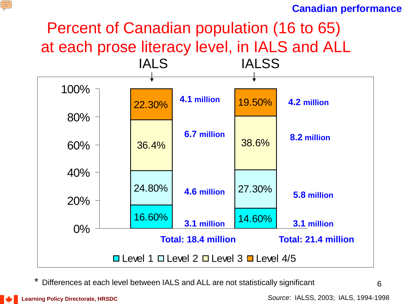#### **Canadian performance**

## Percent of Canadian population (16 to 65) at each prose literacy level, in IALS and ALL



Differences at each level between IALS and ALL are not statistically significant

复

6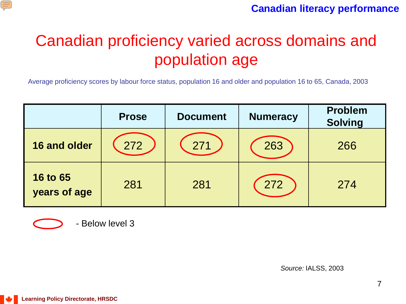

## Canadian proficiency varied across domains and population age

Average proficiency scores by labour force status, population 16 and older and population 16 to 65, Canada, 2003

|                                 | <b>Prose</b> | <b>Document</b> | <b>Numeracy</b> | <b>Problem</b><br><b>Solving</b> |
|---------------------------------|--------------|-----------------|-----------------|----------------------------------|
| 16 and older                    | 272          | 271             | 263             | 266                              |
| <b>16 to 65</b><br>years of age | 281          | 281             | 272             | 274                              |



- Below level 3

*Source:* IALSS, 2003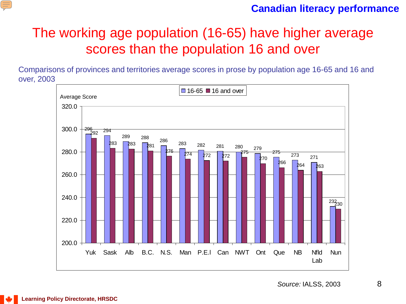

#### **Canadian literacy performance**

## The working age population (16-65) have higher average scores than the population 16 and over

Comparisons of provinces and territories average scores in prose by population age 16-65 and 16 and over, 2003

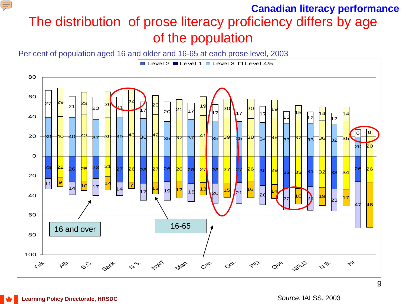### The distribution of prose literacy proficiency differs by age of the population **Canadian literacy performance**

Per cent of population aged 16 and older and 16-65 at each prose level, 2003



E

*Source:* IALSS, 2003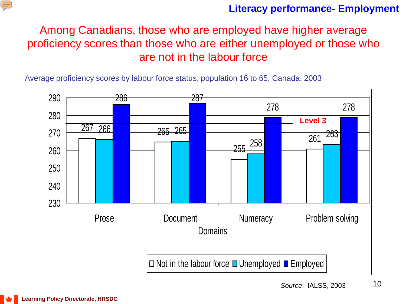![](_page_9_Picture_0.jpeg)

### **Literacy performance- Employment**

Among Canadians, those who are employed have higher average proficiency scores than those who are either unemployed or those who are not in the labour force

Average proficiency scores by labour force status, population 16 to 65, Canada, 2003

![](_page_9_Figure_4.jpeg)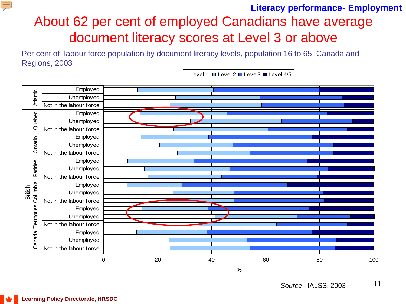### About 62 per cent of employed Canadians have average document literacy scores at Level 3 or above **Literacy performance- Employment**

Per cent of labour force population by document literacy levels, population 16 to 65, Canada and Regions, 2003

![](_page_10_Figure_2.jpeg)

E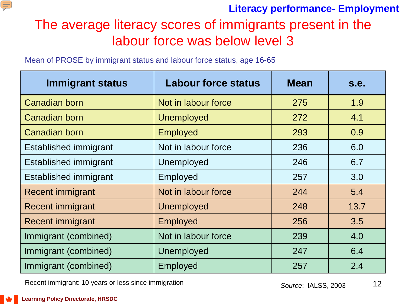![](_page_11_Picture_0.jpeg)

### **Literacy performance- Employment**

### The average literacy scores of immigrants present in the labour force was below level 3

Mean of PROSE by immigrant status and labour force status, age 16-65

| <b>Immigrant status</b>      | <b>Labour force status</b> | <b>Mean</b> | s.e. |
|------------------------------|----------------------------|-------------|------|
| Canadian born                | Not in labour force        | 275         | 1.9  |
| Canadian born                | <b>Unemployed</b>          | 272         | 4.1  |
| <b>Canadian born</b>         | <b>Employed</b>            | 293         | 0.9  |
| <b>Established immigrant</b> | Not in labour force        | 236         | 6.0  |
| <b>Established immigrant</b> | Unemployed                 | 246         | 6.7  |
| <b>Established immigrant</b> | Employed                   | 257         | 3.0  |
| <b>Recent immigrant</b>      | Not in labour force        | 244         | 5.4  |
| <b>Recent immigrant</b>      | <b>Unemployed</b>          | 248         | 13.7 |
| <b>Recent immigrant</b>      | <b>Employed</b>            | 256         | 3.5  |
| Immigrant (combined)         | Not in labour force        | 239         | 4.0  |
| Immigrant (combined)         | Unemployed                 | 247         | 6.4  |
| Immigrant (combined)         | <b>Employed</b>            | 257         | 2.4  |

Recent immigrant: 10 years or less since immigration **Source: IALSS, 2003** 

![](_page_11_Picture_7.jpeg)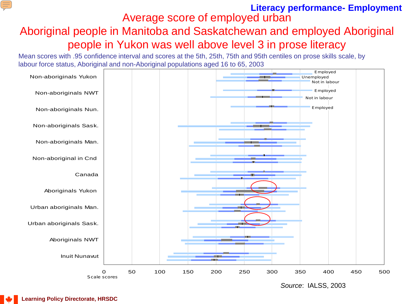#### Average score of employed urban **Literacy performance- Employment**

### Aboriginal people in Manitoba and Saskatchewan and employed Aboriginal people in Yukon was well above level 3 in prose literacy

Mean scores with .95 confidence interval and scores at the 5th, 25th, 75th and 95th centiles on prose skills scale, by labour force status, Aboriginal and non-Aboriginal populations aged 16 to 65, 2003

![](_page_12_Figure_3.jpeg)

*Source*: IALSS, 2003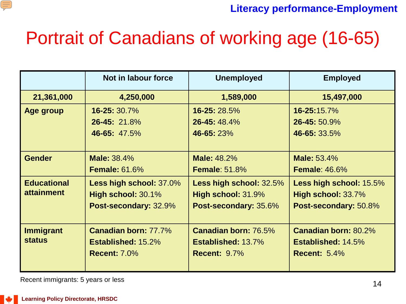![](_page_13_Picture_0.jpeg)

**Literacy performance-Employment**

# Portrait of Canadians of working age (16-65)

|                    | Not in labour force         | <b>Unemployed</b>           | <b>Employed</b>           |
|--------------------|-----------------------------|-----------------------------|---------------------------|
| 21,361,000         | 4,250,000                   | 1,589,000                   | 15,497,000                |
| Age group          | 16-25: 30.7%                | 16-25: 28.5%                | 16-25:15.7%               |
|                    | 26-45: 21.8%                | 26-45: 48.4%                | 26-45: 50.9%              |
|                    | 46-65: 47.5%                | 46-65: 23%                  | 46-65: 33.5%              |
|                    |                             |                             |                           |
| <b>Gender</b>      | <b>Male: 38.4%</b>          | <b>Male: 48.2%</b>          | <b>Male: 53.4%</b>        |
|                    | <b>Female: 61.6%</b>        | <b>Female: 51.8%</b>        | <b>Female: 46.6%</b>      |
| <b>Educational</b> | Less high school: 37.0%     | Less high school: 32.5%     | Less high school: 15.5%   |
| <b>attainment</b>  | High school: 30.1%          | High school: 31.9%          | High school: 33.7%        |
|                    | Post-secondary: 32.9%       | Post-secondary: 35.6%       | Post-secondary: 50.8%     |
|                    |                             |                             |                           |
| <b>Immigrant</b>   | <b>Canadian born: 77.7%</b> | <b>Canadian born: 76.5%</b> | Canadian born: 80.2%      |
| <b>status</b>      | <b>Established: 15.2%</b>   | <b>Established: 13.7%</b>   | <b>Established: 14.5%</b> |
|                    | <b>Recent: 7.0%</b>         | <b>Recent: 9.7%</b>         | <b>Recent: 5.4%</b>       |
|                    |                             |                             |                           |

Recent immigrants: 5 years or less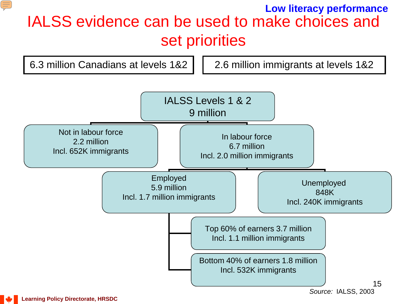### IALSS evidence can be used to make choices and set priorities **Low literacy performance**

![](_page_14_Figure_1.jpeg)

E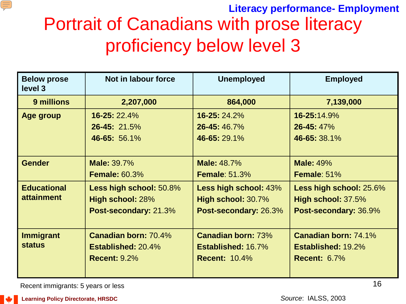![](_page_15_Picture_0.jpeg)

## Portrait of Canadians with prose literacy proficiency below level 3 **Literacy performance- Employment**

| <b>Below prose</b><br>level 3 | Not in labour force         | <b>Unemployed</b>         | <b>Employed</b>           |
|-------------------------------|-----------------------------|---------------------------|---------------------------|
| 9 millions                    | 2,207,000                   | 864,000                   | 7,139,000                 |
| Age group                     | $16 - 25:22.4%$             | 16-25: 24.2%              | 16-25:14.9%               |
|                               | $26 - 45:21.5%$             | 26-45: 46.7%              | 26-45: 47%                |
|                               | 46-65: 56.1%                | 46-65:29.1%               | 46-65: 38.1%              |
|                               |                             |                           |                           |
| <b>Gender</b>                 | <b>Male: 39.7%</b>          | <b>Male: 48.7%</b>        | <b>Male: 49%</b>          |
|                               | <b>Female: 60.3%</b>        | <b>Female: 51.3%</b>      | Female: 51%               |
| <b>Educational</b>            | Less high school: 50.8%     | Less high school: 43%     | Less high school: 25.6%   |
| <b>attainment</b>             | High school: 28%            | High school: 30.7%        | High school: 37.5%        |
|                               | Post-secondary: 21.3%       | Post-secondary: 26.3%     | Post-secondary: 36.9%     |
|                               |                             |                           |                           |
| <b>Immigrant</b>              | <b>Canadian born: 70.4%</b> | <b>Canadian born: 73%</b> | Canadian born: 74.1%      |
| <b>status</b>                 | <b>Established: 20.4%</b>   | <b>Established: 16.7%</b> | <b>Established: 19.2%</b> |
|                               | <b>Recent: 9.2%</b>         | <b>Recent: 10.4%</b>      | <b>Recent: 6.7%</b>       |
|                               |                             |                           |                           |

Recent immigrants: 5 years or less

**Learning Policy Directorate, HRSDC**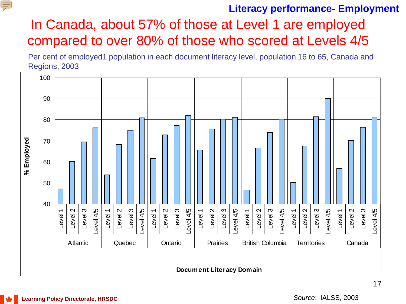#### E

### **Literacy performance- Employment**

### In Canada, about 57% of those at Level 1 are employed compared to over 80% of those who scored at Levels 4/5

Per cent of employed1 population in each document literacy level, population 16 to 65, Canada and Regions, 2003

![](_page_16_Figure_4.jpeg)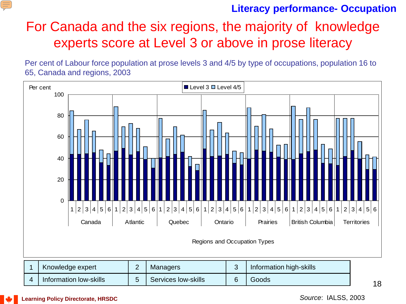![](_page_17_Picture_0.jpeg)

### **Literacy performance- Occupation**

### For Canada and the six regions, the majority of knowledge experts score at Level 3 or above in prose literacy

Per cent of Labour force population at prose levels 3 and 4/5 by type of occupations, population 16 to 65, Canada and regions, 2003

![](_page_17_Figure_4.jpeg)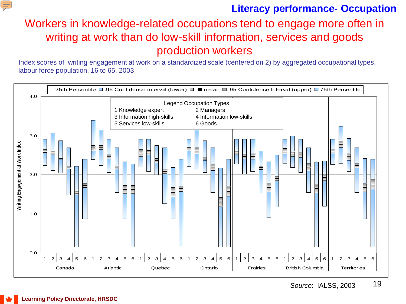![](_page_18_Picture_0.jpeg)

### **Literacy performance- Occupation**

### Workers in knowledge-related occupations tend to engage more often in writing at work than do low-skill information, services and goods production workers

Index scores of writing engagement at work on a standardized scale (centered on 2) by aggregated occupational types, labour force population, 16 to 65, 2003

![](_page_18_Figure_4.jpeg)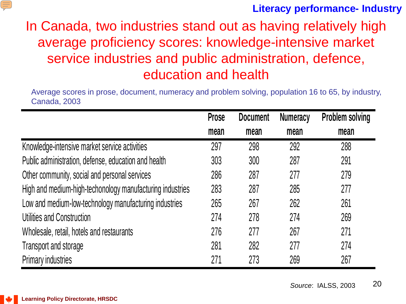![](_page_19_Picture_0.jpeg)

### **Literacy performance- Industry**

## In Canada, two industries stand out as having relatively high average proficiency scores: knowledge-intensive market service industries and public administration, defence, education and health

Average scores in prose, document, numeracy and problem solving, population 16 to 65, by industry, Canada, 2003

|                                                           | <b>Prose</b> | <b>Document</b> | <b>Numeracy</b> | <b>Problem solving</b> |
|-----------------------------------------------------------|--------------|-----------------|-----------------|------------------------|
|                                                           | mean         | mean            | mean            | mean                   |
| Knowledge-intensive market service activities             | 297          | 298             | 292             | 288                    |
| Public administration, defense, education and health      | 303          | 300             | 287             | 291                    |
| Other community, social and personal services             | 286          | 287             | 277             | 279                    |
| High and medium-high-techonology manufacturing industries | 283          | 287             | 285             | 277                    |
| Low and medium-low-technology manufacturing industries    | 265          | 267             | 262             | 261                    |
| Utilities and Construction                                | 274          | 278             | 274             | 269                    |
| Wholesale, retail, hotels and restaurants                 | 276          | 277             | 267             | 271                    |
| Transport and storage                                     | 281          | 282             | 277             | 274                    |
| <b>Primary industries</b>                                 | 271          | 273             | 269             | 267                    |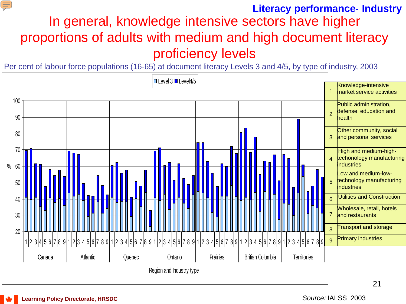#### E

#### **Literacy performance- Industry**

In general, knowledge intensive sectors have higher proportions of adults with medium and high document literacy proficiency levels

Per cent of labour force populations (16-65) at document literacy Levels 3 and 4/5, by type of industry, 2003

![](_page_20_Figure_4.jpeg)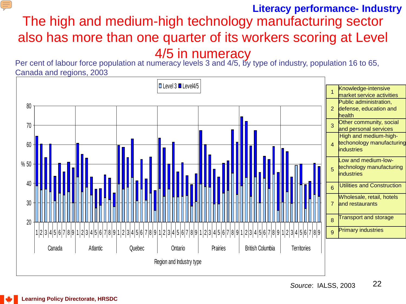### The high and medium-high technology manufacturing sector also has more than one quarter of its workers scoring at Level 4/5 in numeracy **Literacy performance- Industry**

Per cent of labour force population at numeracy levels 3 and 4/5, by type of industry, population 16 to 65, Canada and regions, 2003

![](_page_21_Figure_2.jpeg)

![](_page_21_Picture_5.jpeg)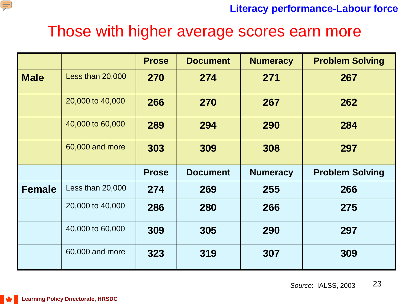![](_page_22_Picture_0.jpeg)

**Literacy performance-Labour force**

## Those with higher average scores earn more

|               |                  | <b>Prose</b> | <b>Document</b> | <b>Numeracy</b> | <b>Problem Solving</b> |
|---------------|------------------|--------------|-----------------|-----------------|------------------------|
| <b>Male</b>   | Less than 20,000 | 270          | 274             | 271             | 267                    |
|               | 20,000 to 40,000 | 266          | 270             | 267             | 262                    |
|               | 40,000 to 60,000 | 289          | 294             | 290             | 284                    |
|               | 60,000 and more  | 303          | 309             | 308             | 297                    |
|               |                  | <b>Prose</b> | <b>Document</b> | <b>Numeracy</b> | <b>Problem Solving</b> |
| <b>Female</b> | Less than 20,000 | 274          | 269             | 255             | 266                    |
|               | 20,000 to 40,000 | 286          | 280             | 266             | 275                    |
|               | 40,000 to 60,000 | 309          | 305             | 290             | 297                    |
|               |                  |              |                 |                 |                        |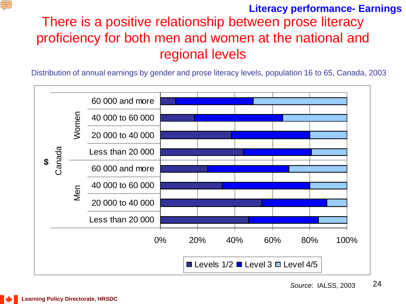#### E

### There is a positive relationship between prose literacy proficiency for both men and women at the national and regional levels **Literacy performance- Earnings**

Distribution of annual earnings by gender and prose literacy levels, population 16 to 65, Canada, 2003

![](_page_23_Figure_3.jpeg)

![](_page_23_Picture_6.jpeg)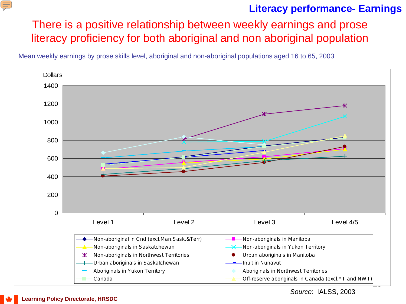#### $\equiv$

### **Literacy performance- Earnings**

There is a positive relationship between weekly earnings and prose literacy proficiency for both aboriginal and non aboriginal population

Mean weekly earnings by prose skills level, aboriginal and non-aboriginal populations aged 16 to 65, 2003

![](_page_24_Figure_4.jpeg)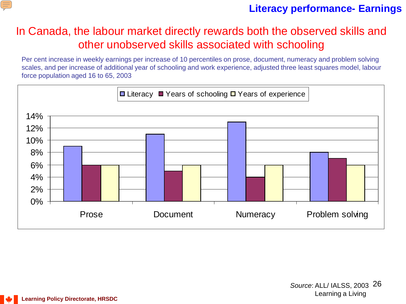![](_page_25_Picture_0.jpeg)

### **Literacy performance- Earnings**

### In Canada, the labour market directly rewards both the observed skills and other unobserved skills associated with schooling

Per cent increase in weekly earnings per increase of 10 percentiles on prose, document, numeracy and problem solving scales, and per increase of additional year of schooling and work experience, adjusted three least squares model, labour force population aged 16 to 65, 2003

![](_page_25_Figure_4.jpeg)

![](_page_25_Picture_6.jpeg)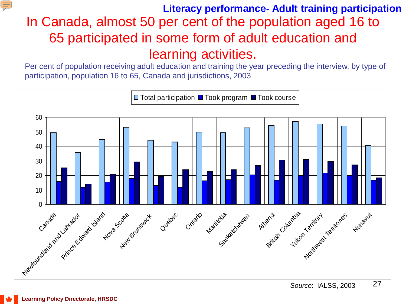### In Canada, almost 50 per cent of the population aged 16 to 65 participated in some form of adult education and learning activities. **Literacy performance- Adult training participation**

Per cent of population receiving adult education and training the year preceding the interview, by type of participation, population 16 to 65, Canada and jurisdictions, 2003

![](_page_26_Figure_2.jpeg)

E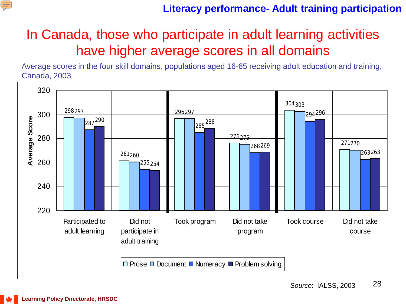![](_page_27_Picture_0.jpeg)

### **Literacy performance- Adult training participation**

## In Canada, those who participate in adult learning activities have higher average scores in all domains

Average scores in the four skill domains, populations aged 16-65 receiving adult education and training, Canada, 2003

![](_page_27_Figure_4.jpeg)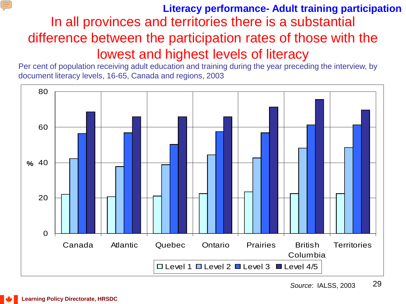### In all provinces and territories there is a substantial difference between the participation rates of those with the lowest and highest levels of literacy **Literacy performance- Adult training participation**

Per cent of population receiving adult education and training during the year preceding the interview, by document literacy levels, 16-65, Canada and regions, 2003

![](_page_28_Figure_2.jpeg)

E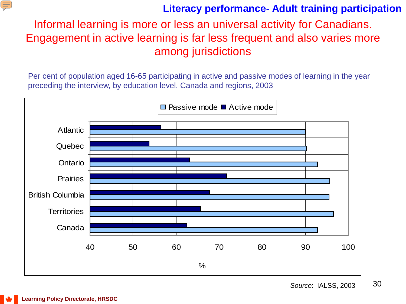#### E

### **Literacy performance- Adult training participation**

Informal learning is more or less an universal activity for Canadians. Engagement in active learning is far less frequent and also varies more among jurisdictions

Per cent of population aged 16-65 participating in active and passive modes of learning in the year preceding the interview, by education level, Canada and regions, 2003

![](_page_29_Figure_4.jpeg)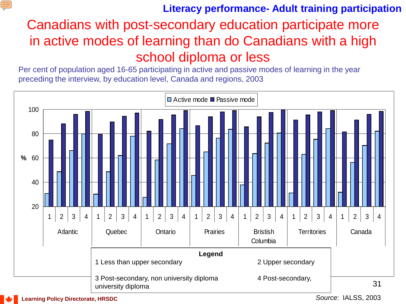### **Literacy performance- Adult training participation**

## Canadians with post-secondary education participate more in active modes of learning than do Canadians with a high school diploma or less

Per cent of population aged 16-65 participating in active and passive modes of learning in the year preceding the interview, by education level, Canada and regions, 2003

![](_page_30_Figure_3.jpeg)

E

*Source*: IALSS, 2003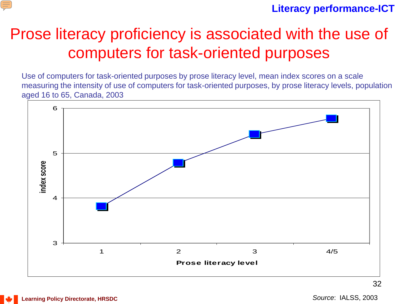![](_page_31_Picture_0.jpeg)

#### **Literacy performance-ICT**

## Prose literacy proficiency is associated with the use of computers for task-oriented purposes

Use of computers for task-oriented purposes by prose literacy level, mean index scores on a scale measuring the intensity of use of computers for task-oriented purposes, by prose literacy levels, population aged 16 to 65, Canada, 2003

![](_page_31_Figure_4.jpeg)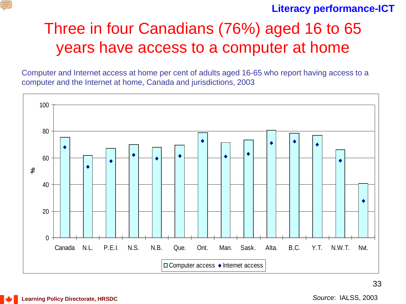![](_page_32_Picture_0.jpeg)

#### **Literacy performance-ICT**

## Three in four Canadians (76%) aged 16 to 65 years have access to a computer at home

Computer and Internet access at home per cent of adults aged 16-65 who report having access to a computer and the Internet at home, Canada and jurisdictions, 2003

![](_page_32_Figure_4.jpeg)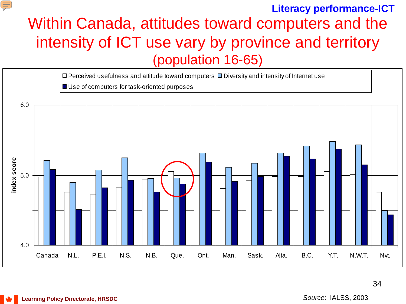#### **Literacy performance-ICT**

## Within Canada, attitudes toward computers and the intensity of ICT use vary by province and territory (population 16-65)

![](_page_33_Figure_2.jpeg)

34

E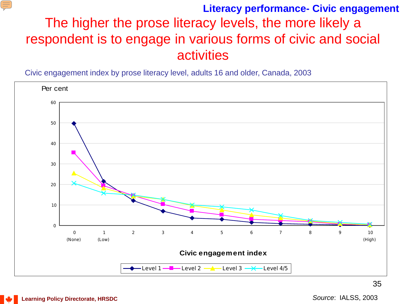![](_page_34_Picture_0.jpeg)

### The higher the prose literacy levels, the more likely a respondent is to engage in various forms of civic and social activities **Literacy performance- Civic engagement**

Civic engagement index by prose literacy level, adults 16 and older, Canada, 2003

![](_page_34_Figure_3.jpeg)

**Learning Policy Directorate, HRSDC**

*Source*: IALSS, 2003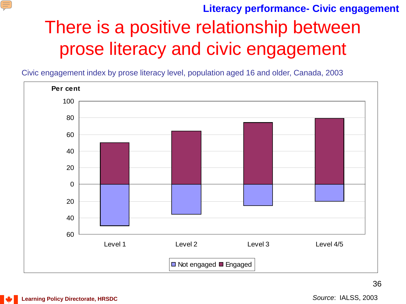![](_page_35_Picture_0.jpeg)

**Literacy performance- Civic engagement**

# There is a positive relationship between prose literacy and civic engagement

Civic engagement index by prose literacy level, population aged 16 and older, Canada, 2003

![](_page_35_Figure_4.jpeg)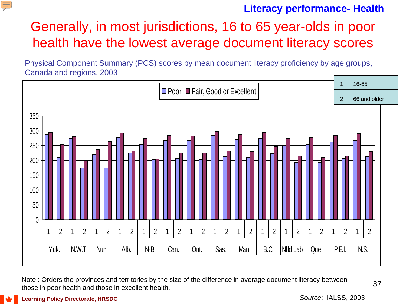#### E

#### **Literacy performance- Health**

## Generally, in most jurisdictions, 16 to 65 year-olds in poor health have the lowest average document literacy scores

Physical Component Summary (PCS) scores by mean document literacy proficiency by age groups, Canada and regions, 2003

![](_page_36_Figure_4.jpeg)

Note : Orders the provinces and territories by the size of the difference in average document literacy between those in poor health and those in excellent health.

**Learning Policy Directorate, HRSDC**

*Source*: IALSS, 2003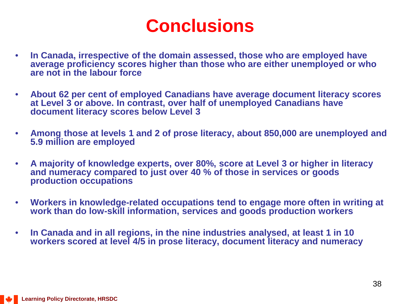## **Conclusions**

- **In Canada, irrespective of the domain assessed, those who are employed have average proficiency scores higher than those who are either unemployed or who are not in the labour force**
- **About 62 per cent of employed Canadians have average document literacy scores at Level 3 or above. In contrast, over half of unemployed Canadians have document literacy scores below Level 3**
- **Among those at levels 1 and 2 of prose literacy, about 850,000 are unemployed and 5.9 million are employed**
- **A majority of knowledge experts, over 80%, score at Level 3 or higher in literacy and numeracy compared to just over 40 % of those in services or goods production occupations**
- **Workers in knowledge-related occupations tend to engage more often in writing at work than do low-skill information, services and goods production workers**
- **In Canada and in all regions, in the nine industries analysed, at least 1 in 10 workers scored at level 4/5 in prose literacy, document literacy and numeracy**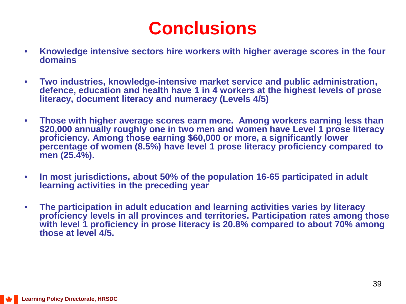## **Conclusions**

- **Knowledge intensive sectors hire workers with higher average scores in the four domains**
- **Two industries, knowledge-intensive market service and public administration, defence, education and health have 1 in 4 workers at the highest levels of prose literacy, document literacy and numeracy (Levels 4/5)**
- **Those with higher average scores earn more. Among workers earning less than \$20,000 annually roughly one in two men and women have Level 1 prose literacy proficiency. Among those earning \$60,000 or more, a significantly lower percentage of women (8.5%) have level 1 prose literacy proficiency compared to men (25.4%).**
- **In most jurisdictions, about 50% of the population 16-65 participated in adult learning activities in the preceding year**
- **The participation in adult education and learning activities varies by literacy proficiency levels in all provinces and territories. Participation rates among those with level 1 proficiency in prose literacy is 20.8% compared to about 70% among those at level 4/5.**